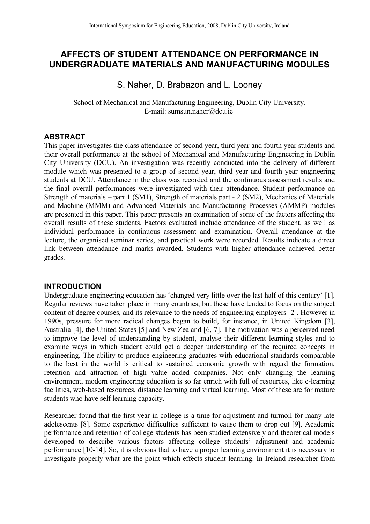# **AFFECTS OF STUDENT ATTENDANCE ON PERFORMANCE IN UNDERGRADUATE MATERIALS AND MANUFACTURING MODULES**

S. Naher, D. Brabazon and L. Looney

School of Mechanical and Manufacturing Engineering, Dublin City University. E-mail: sumsun.naher@dcu.ie

## **ABSTRACT**

This paper investigates the class attendance of second year, third year and fourth year students and their overall performance at the school of Mechanical and Manufacturing Engineering in Dublin City University (DCU). An investigation was recently conducted into the delivery of different module which was presented to a group of second year, third year and fourth year engineering students at DCU. Attendance in the class was recorded and the continuous assessment results and the final overall performances were investigated with their attendance. Student performance on Strength of materials – part 1 (SM1), Strength of materials part - 2 (SM2), Mechanics of Materials and Machine (MMM) and Advanced Materials and Manufacturing Processes (AMMP) modules are presented in this paper. This paper presents an examination of some of the factors affecting the overall results of these students. Factors evaluated include attendance of the student, as well as individual performance in continuous assessment and examination. Overall attendance at the lecture, the organised seminar series, and practical work were recorded. Results indicate a direct link between attendance and marks awarded. Students with higher attendance achieved better grades.

#### **INTRODUCTION**

Undergraduate engineering education has 'changed very little over the last half of this century' [1]. Regular reviews have taken place in many countries, but these have tended to focus on the subject content of degree courses, and its relevance to the needs of engineering employers [2]. However in 1990s, pressure for more radical changes began to build, for instance, in United Kingdom [3], Australia [4], the United States [5] and New Zealand [6, 7]. The motivation was a perceived need to improve the level of understanding by student, analyse their different learning styles and to examine ways in which student could get a deeper understanding of the required concepts in engineering. The ability to produce engineering graduates with educational standards comparable to the best in the world is critical to sustained economic growth with regard the formation, retention and attraction of high value added companies. Not only changing the learning environment, modern engineering education is so far enrich with full of resources, like e-learning facilities, web-based resources, distance learning and virtual learning. Most of these are for mature students who have self learning capacity.

Researcher found that the first year in college is a time for adjustment and turmoil for many late adolescents [8]. Some experience difficulties sufficient to cause them to drop out [9]. Academic performance and retention of college students has been studied extensively and theoretical models developed to describe various factors affecting college students' adjustment and academic performance [10-14]. So, it is obvious that to have a proper learning environment it is necessary to investigate properly what are the point which effects student learning. In Ireland researcher from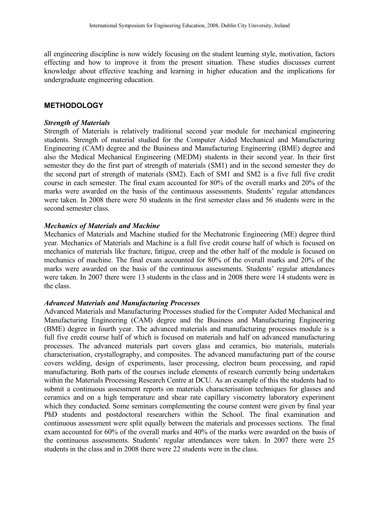all engineering discipline is now widely focusing on the student learning style, motivation, factors effecting and how to improve it from the present situation. These studies discusses current knowledge about effective teaching and learning in higher education and the implications for undergraduate engineering education.

#### **METHODOLOGY**

#### *Strength of Materials*

Strength of Materials is relatively traditional second year module for mechanical engineering students. Strength of material studied for the Computer Aided Mechanical and Manufacturing Engineering (CAM) degree and the Business and Manufacturing Engineering (BME) degree and also the Medical Mechanical Engineering (MEDM) students in their second year. In their first semester they do the first part of strength of materials (SM1) and in the second semester they do the second part of strength of materials (SM2). Each of SM1 and SM2 is a five full five credit course in each semester. The final exam accounted for 80% of the overall marks and 20% of the marks were awarded on the basis of the continuous assessments. Students' regular attendances were taken. In 2008 there were 50 students in the first semester class and 56 students were in the second semester class.

#### *Mechanics of Materials and Machine*

Mechanics of Materials and Machine studied for the Mechatronic Engineering (ME) degree third year. Mechanics of Materials and Machine is a full five credit course half of which is focused on mechanics of materials like fracture, fatigue, creep and the other half of the module is focused on mechanics of machine. The final exam accounted for 80% of the overall marks and 20% of the marks were awarded on the basis of the continuous assessments. Students' regular attendances were taken. In 2007 there were 13 students in the class and in 2008 there were 14 students were in the class.

#### *Advanced Materials and Manufacturing Processes*

Advanced Materials and Manufacturing Processes studied for the Computer Aided Mechanical and Manufacturing Engineering (CAM) degree and the Business and Manufacturing Engineering (BME) degree in fourth year. The advanced materials and manufacturing processes module is a full five credit course half of which is focused on materials and half on advanced manufacturing processes. The advanced materials part covers glass and ceramics, bio materials, materials characterisation, crystallography, and composites. The advanced manufacturing part of the course covers welding, design of experiments, laser processing, electron beam processing, and rapid manufacturing. Both parts of the courses include elements of research currently being undertaken within the Materials Processing Research Centre at DCU. As an example of this the students had to submit a continuous assessment reports on materials characterisation techniques for glasses and ceramics and on a high temperature and shear rate capillary viscometry laboratory experiment which they conducted. Some seminars complementing the course content were given by final year PhD students and postdoctoral researchers within the School. The final examination and continuous assessment were split equally between the materials and processes sections. The final exam accounted for 60% of the overall marks and 40% of the marks were awarded on the basis of the continuous assessments. Students' regular attendances were taken. In 2007 there were 25 students in the class and in 2008 there were 22 students were in the class.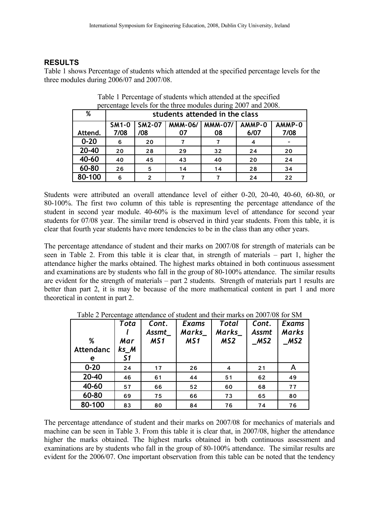# **RESULTS**

Table 1 shows Percentage of students which attended at the specified percentage levels for the three modules during 2006/07 and 2007/08.

| percentage levels for the three modules during $2007$ and $2000$ . |                                |               |                |                |        |        |  |  |
|--------------------------------------------------------------------|--------------------------------|---------------|----------------|----------------|--------|--------|--|--|
| %                                                                  | students attended in the class |               |                |                |        |        |  |  |
|                                                                    | <b>SM1-0</b>                   | <b>SM2-07</b> | <b>MMM-06/</b> | <b>MMM-07/</b> | AMMP-0 | AMMP-0 |  |  |
| Attend.                                                            | 7/08                           | /08           | 07             | 08             | 6/07   | 7/08   |  |  |
| $0 - 20$                                                           | 6                              | 20            |                |                | 4      |        |  |  |
| $20 - 40$                                                          | 20                             | 28            | 29             | 32             | 24     | 20     |  |  |
| 40-60                                                              | 40                             | 45            | 43             | 40             | 20     | 24     |  |  |
| 60-80                                                              | 26                             | 5             | 14             | 14             | 28     | 34     |  |  |
| 80-100                                                             | 6                              | 2             |                |                | 24     | 22     |  |  |

Table 1 Percentage of students which attended at the specified percentage levels for the three modules during 2007 and 2008.

Students were attributed an overall attendance level of either 0-20, 20-40, 40-60, 60-80, or 80-100%. The first two column of this table is representing the percentage attendance of the student in second year module. 40-60% is the maximum level of attendance for second year students for 07/08 year. The similar trend is observed in third year students. From this table, it is clear that fourth year students have more tendencies to be in the class than any other years.

The percentage attendance of student and their marks on 2007/08 for strength of materials can be seen in Table 2. From this table it is clear that, in strength of materials – part 1, higher the attendance higher the marks obtained. The highest marks obtained in both continuous assessment and examinations are by students who fall in the group of 80-100% attendance. The similar results are evident for the strength of materials – part 2 students. Strength of materials part 1 results are better than part 2, it is may be because of the more mathematical content in part 1 and more theoretical in content in part 2.

| %         | Tota<br>Mar | Cont.<br>Assmt<br>MS1 | <b>Exams</b><br>Marks<br>MS1 | Total<br>Marks<br>MS <sub>2</sub> | Cont.<br><b>Assmt</b><br>MS2 | <b>Exams</b><br>Marks<br>MS2 |
|-----------|-------------|-----------------------|------------------------------|-----------------------------------|------------------------------|------------------------------|
| Attendanc | ks M        |                       |                              |                                   |                              |                              |
| е         | 51          |                       |                              |                                   |                              |                              |
| $0 - 20$  | 24          | 17                    | 26                           | 4                                 | 21                           | A                            |
| 20-40     | 46          | 61                    | 44                           | 51                                | 62                           | 49                           |
| 40-60     | 57          | 66                    | 52                           | 60                                | 68                           | 77                           |
| 60-80     | 69          | 75                    | 66                           | 73                                | 65                           | 80                           |
| 80-100    | 83          | 80                    | 84                           | 76                                | 74                           | 76                           |

Table 2 Percentage attendance of student and their marks on 2007/08 for SM

The percentage attendance of student and their marks on 2007/08 for mechanics of materials and machine can be seen in Table 3. From this table it is clear that, in 2007/08, higher the attendance higher the marks obtained. The highest marks obtained in both continuous assessment and examinations are by students who fall in the group of 80-100% attendance. The similar results are evident for the 2006/07. One important observation from this table can be noted that the tendency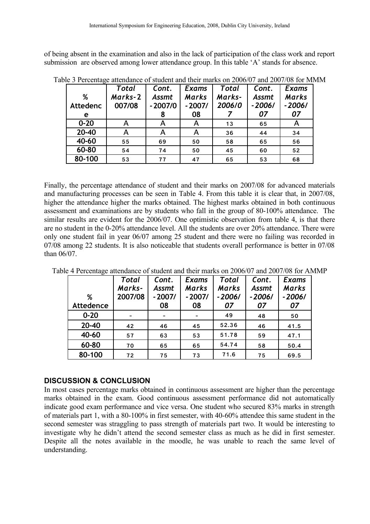of being absent in the examination and also in the lack of participation of the class work and report submission are observed among lower attendance group. In this table 'A' stands for absence.

|          | Total   | Cont.        | Exams        | Total  | Cont.        | <b>Exams</b> |
|----------|---------|--------------|--------------|--------|--------------|--------------|
| %        | Marks-2 | <b>Assmt</b> | <b>Marks</b> | Marks- | <b>Assmt</b> | <b>Marks</b> |
| Attedenc | 007/08  | $-2007/0$    | $-2007/$     | 2006/0 | $-2006/$     | $-2006/$     |
| e        |         | 8            | 08           |        | 07           | 07           |
| $0 - 20$ | A       | A            | A            | 13     | 65           | A            |
| 20-40    | А       | A            | A            | 36     | 44           | 34           |
| 40-60    | 55      | 69           | 50           | 58     | 65           | 56           |
| 60-80    | 54      | 74           | 50           | 45     | 60           | 52           |
| 80-100   | 53      | 77           | 47           | 65     | 53           | 68           |

Table 3 Percentage attendance of student and their marks on 2006/07 and 2007/08 for MMM

Finally, the percentage attendance of student and their marks on 2007/08 for advanced materials and manufacturing processes can be seen in Table 4. From this table it is clear that, in 2007/08, higher the attendance higher the marks obtained. The highest marks obtained in both continuous assessment and examinations are by students who fall in the group of 80-100% attendance. The similar results are evident for the 2006/07. One optimistic observation from table 4, is that there are no student in the 0-20% attendance level. All the students are over 20% attendance. There were only one student fail in year 06/07 among 25 student and there were no failing was recorded in 07/08 among 22 students. It is also noticeable that students overall performance is better in 07/08 than 06/07.

|           | <b>Total</b> | Cont.        | <b>Exams</b> | <b>Total</b> | Cont.        | <b>Exams</b> |
|-----------|--------------|--------------|--------------|--------------|--------------|--------------|
|           | Marks-       | <b>Assmt</b> | <b>Marks</b> | <b>Marks</b> | <b>Assmt</b> | <b>Marks</b> |
| %         | 2007/08      | $-2007/$     | $-2007/$     | $-2006/$     | $-2006/$     | $-2006/$     |
| Attedence |              | 08           | 08           | 07           | 07           | 07           |
| $0 - 20$  |              |              |              | 49           | 48           | 50           |
| 20-40     | 42           | 46           | 45           | 52.36        | 46           | 41.5         |
| 40-60     | 57           | 63           | 53           | 51.78        | 59           | 47.1         |
| 60-80     | 70           | 65           | 65           | 54.74        | 58           | 50.4         |
| 80-100    | 72           | 75           | 73           | 71.6         | 75           | 69.5         |

Table 4 Percentage attendance of student and their marks on 2006/07 and 2007/08 for AMMP

#### **DISCUSSION & CONCLUSION**

In most cases percentage marks obtained in continuous assessment are higher than the percentage marks obtained in the exam. Good continuous assessment performance did not automatically indicate good exam performance and vice versa. One student who secured 83% marks in strength of materials part 1, with a 80-100% in first semester, with 40-60% attendee this same student in the second semester was straggling to pass strength of materials part two. It would be interesting to investigate why he didn't attend the second semester class as much as he did in first semester. Despite all the notes available in the moodle, he was unable to reach the same level of understanding.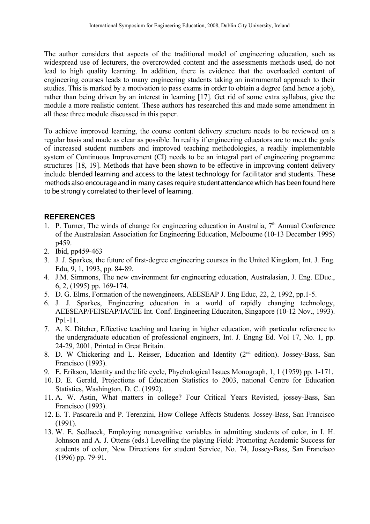The author considers that aspects of the traditional model of engineering education, such as widespread use of lecturers, the overcrowded content and the assessments methods used, do not lead to high quality learning. In addition, there is evidence that the overloaded content of engineering courses leads to many engineering students taking an instrumental approach to their studies. This is marked by a motivation to pass exams in order to obtain a degree (and hence a job), rather than being driven by an interest in learning [17]. Get rid of some extra syllabus, give the module a more realistic content. These authors has researched this and made some amendment in all these three module discussed in this paper.

To achieve improved learning, the course content delivery structure needs to be reviewed on a regular basis and made as clear as possible. In reality if engineering educators are to meet the goals of increased student numbers and improved teaching methodologies, a readily implementable system of Continuous Improvement (CI) needs to be an integral part of engineering programme structures [18, 19]. Methods that have been shown to be effective in improving content delivery include blended learning and access to the latest technology for facilitator and students. These methodsalso encourage and in many cases require student attendance which has been found here to be strongly correlated to their level of learning.

### **REFERENCES**

- 1. P. Turner, The winds of change for engineering education in Australia,  $7<sup>th</sup>$  Annual Conference of the Australasian Association for Engineering Education, Melbourne (10-13 December 1995) p459.
- 2. Ibid, pp459-463
- 3. J. J. Sparkes, the future of first-degree engineering courses in the United Kingdom, Int. J. Eng. Edu, 9, 1, 1993, pp. 84-89.
- 4. J.M. Simmons, The new environment for engineering education, Australasian, J. Eng. EDuc., 6, 2, (1995) pp. 169-174.
- 5. D. G. Elms, Formation of the newengineers, AEESEAP J. Eng Educ, 22, 2, 1992, pp.1-5.
- 6. J. J. Sparkes, Engineering education in a world of rapidly changing technology, AEESEAP/FEISEAP/IACEE Int. Conf. Engineering Educaiton, Singapore (10-12 Nov., 1993). Pp1-11.
- 7. A. K. Ditcher, Effective teaching and learing in higher education, with particular reference to the undergraduate education of professional engineers, Int. J. Engng Ed. Vol 17, No. 1, pp. 24-29, 2001, Printed in Great Britain.
- 8. D. W Chickering and L. Reisser, Education and Identity (2<sup>nd</sup> edition). Jossey-Bass, San Francisco (1993).
- 9. E. Erikson, Identity and the life cycle, Phychological Issues Monograph, 1, 1 (1959) pp. 1-171.
- 10. D. E. Gerald, Projections of Education Statistics to 2003, national Centre for Education Statistics, Washington, D. C. (1992).
- 11. A. W. Astin, What matters in college? Four Critical Years Revisted, jossey-Bass, San Francisco (1993).
- 12. E. T. Pascarella and P. Terenzini, How College Affects Students. Jossey-Bass, San Francisco (1991).
- 13. W. E. Sedlacek, Employing noncognitive variables in admitting students of color, in I. H. Johnson and A. J. Ottens (eds.) Levelling the playing Field: Promoting Academic Success for students of color, New Directions for student Service, No. 74, Jossey-Bass, San Francisco (1996) pp. 79-91.